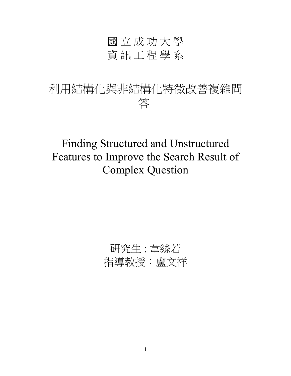# 國 立 成 功 大 學 資訊工程學系

# 利用結構化與非結構化特徵改善複雜問 答

Finding Structured and Unstructured Features to Improve the Search Result of Complex Question

# 研究生: 韋絲若 指導教授:盧文祥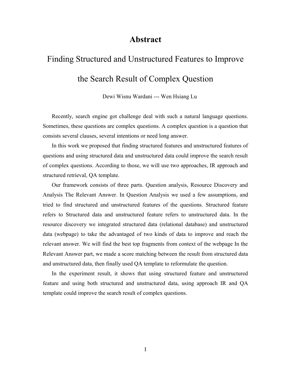## **Abstract**

# Finding Structured and Unstructured Features to Improve the Search Result of Complex Question

Dewi Wisnu Wardani --- Wen Hsiang Lu

Recently, search engine got challenge deal with such a natural language questions. Sometimes, these questions are complex questions. A complex question is a question that consists several clauses, several intentions or need long answer.

In this work we proposed that finding structured features and unstructured features of questions and using structured data and unstructured data could improve the search result of complex questions. According to those, we will use two approaches, IR approach and structured retrieval, QA template.

Our framework consists of three parts. Question analysis, Resource Discovery and Analysis The Relevant Answer. In Question Analysis we used a few assumptions, and tried to find structured and unstructured features of the questions. Structured feature refers to Structured data and unstructured feature refers to unstructured data. In the resource discovery we integrated structured data (relational database) and unstructured data (webpage) to take the advantaged of two kinds of data to improve and reach the relevant answer. We will find the best top fragments from context of the webpage In the Relevant Answer part, we made a score matching between the result from structured data and unstructured data, then finally used QA template to reformulate the question.

In the experiment result, it shows that using structured feature and unstructured feature and using both structured and unstructured data, using approach IR and QA template could improve the search result of complex questions.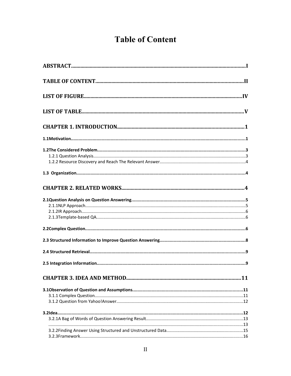# **Table of Content**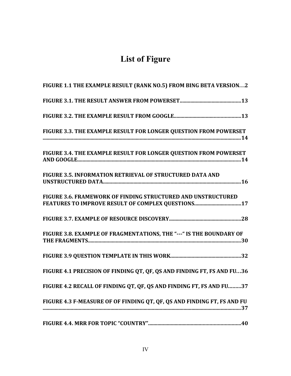# **List of Figure**

| FIGURE 1.1 THE EXAMPLE RESULT (RANK NO.5) FROM BING BETA VERSION2       |
|-------------------------------------------------------------------------|
|                                                                         |
|                                                                         |
| FIGURE 3.3. THE EXAMPLE RESULT FOR LONGER QUESTION FROM POWERSET        |
| FIGURE 3.4. THE EXAMPLE RESULT FOR LONGER QUESTION FROM POWERSET        |
| FIGURE 3.5. INFORMATION RETRIEVAL OF STRUCTURED DATA AND                |
| FIGURE 3.6. FRAMEWORK OF FINDING STRUCTURED AND UNSTRUCTURED            |
|                                                                         |
| FIGURE 3.8. EXAMPLE OF FRAGMENTATIONS, THE "--- " IS THE BOUNDARY OF    |
|                                                                         |
| FIGURE 4.1 PRECISION OF FINDING QT, QF, QS AND FINDING FT, FS AND FU36  |
| FIGURE 4.2 RECALL OF FINDING QT, QF, QS AND FINDING FT, FS AND FU37     |
| FIGURE 4.3 F-MEASURE OF OF FINDING QT, QF, QS AND FINDING FT, FS AND FU |
|                                                                         |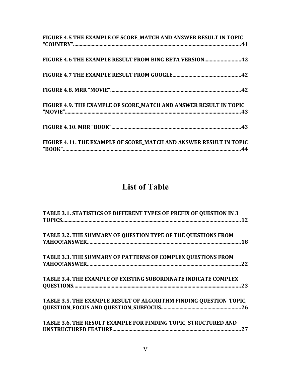| FIGURE 4.5 THE EXAMPLE OF SCORE_MATCH AND ANSWER RESULT IN TOPIC                                           |  |
|------------------------------------------------------------------------------------------------------------|--|
| FIGURE 4.6 THE EXAMPLE RESULT FROM BING BETA VERSION42                                                     |  |
|                                                                                                            |  |
|                                                                                                            |  |
| FIGURE 4.9. THE EXAMPLE OF SCORE MATCH AND ANSWER RESULT IN TOPIC<br>$"MOWIE"                         43"$ |  |
|                                                                                                            |  |
| FIGURE 4.11. THE EXAMPLE OF SCORE MATCH AND ANSWER RESULT IN TOPIC                                         |  |

## **List of Table**

| TABLE 3.1. STATISTICS OF DIFFERENT TYPES OF PREFIX OF QUESTION IN 3    |
|------------------------------------------------------------------------|
| TABLE 3.2. THE SUMMARY OF QUESTION TYPE OF THE QUESTIONS FROM          |
| <b>TABLE 3.3. THE SUMMARY OF PATTERNS OF COMPLEX QUESTIONS FROM</b>    |
| TABLE 3.4. THE EXAMPLE OF EXISTING SUBORDINATE INDICATE COMPLEX<br>-23 |
| TABLE 3.5. THE EXAMPLE RESULT OF ALGORITHM FINDING QUESTION_TOPIC,     |
| TABLE 3.6. THE RESULT EXAMPLE FOR FINDING TOPIC, STRUCTURED AND<br>27  |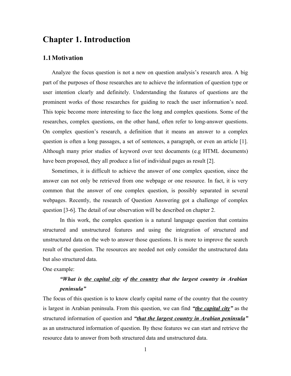## **Chapter 1. Introduction**

## **1.1Motivation**

Analyze the focus question is not a new on question analysis's research area. A big part of the purposes of those researches are to achieve the information of question type or user intention clearly and definitely. Understanding the features of questions are the prominent works of those researches for guiding to reach the user information's need. This topic become more interesting to face the long and complex questions. Some of the researches, complex questions, on the other hand, often refer to long-answer questions. On complex question's research, a definition that it means an answer to a complex question is often a long passages, a set of sentences, a paragraph, or even an article [1]. Although many prior studies of keyword over text documents (e.g HTML documents) have been proposed, they all produce a list of individual pages as result [2].

Sometimes, it is difficult to achieve the answer of one complex question, since the answer can not only be retrieved from one webpage or one resource. In fact, it is very common that the answer of one complex question, is possibly separated in several webpages. Recently, the research of Question Answering got a challenge of complex question [3-6]. The detail of our observation will be described on chapter 2.

In this work, the complex question is a natural language question that contains structured and unstructured features and using the integration of structured and unstructured data on the web to answer those questions. It is more to improve the search result of the question. The resources are needed not only consider the unstructured data but also structured data.

### One example:

## *"What is the capital city of the country that the largest country in Arabian peninsula"*

The focus of this question is to know clearly capital name of the country that the country is largest in Arabian peninsula. From this question, we can find *"the capital city"* as the structured information of question and *"that the largest country in Arabian peninsula"* as an unstructured information of question. By these features we can start and retrieve the resource data to answer from both structured data and unstructured data.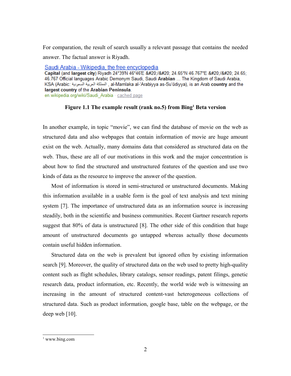For comparation, the result of search usually a relevant passage that contains the needed answer. The factual answer is Riyadh.

Saudi Arabia - Wikipedia, the free encyclopedia Capital (and largest city) Riyadh 24°39'N 46°46'E / 24.65°N 46.767°E / 24.65; 46.767 Official languages Arabic Demonym Saudi, Saudi Arabian ... The Kingdom of Saudi Arabia, KSA (Arabic: المملكة العربية السعودية, al-Mamlaka al-'Arabiyya as-Su'ūdiyya), is an Arab country and the largest country of the Arabian Peninsula. en.wikipedia.org/wiki/Saudi Arabia · cached page

### **Figure 1.1 The example result (rank no.5) from Bing[1](#page-9-0) Beta version**

In another example, in topic "movie", we can find the database of movie on the web as structured data and also webpages that contain information of movie are huge amount exist on the web. Actually, many domains data that considered as structured data on the web. Thus, these are all of our motivations in this work and the major concentration is about how to find the structured and unstructured features of the question and use two kinds of data as the resource to improve the answer of the question.

Most of information is stored in semi-structured or unstructured documents. Making this information available in a usable form is the goal of text analysis and text mining system [7]. The importance of unstructured data as an information source is increasing steadily, both in the scientific and business communities. Recent Gartner research reports suggest that 80% of data is unstructured [8]. The other side of this condition that huge amount of unstructured documents go untapped whereas actually those documents contain useful hidden information.

Structured data on the web is prevalent but ignored often by existing information search [9]. Moreover, the quality of structured data on the web used to pretty high-quality content such as flight schedules, library catalogs, sensor readings, patent filings, genetic research data, product information, etc. Recently, the world wide web is witnessing an increasing in the amount of structured content-vast heterogeneous collections of structured data. Such as product information, google base, table on the webpage, or the deep web [10].

<span id="page-9-0"></span><sup>1</sup> www.bing.com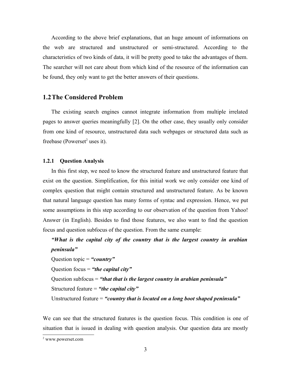According to the above brief explanations, that an huge amount of informations on the web are structured and unstructured or semi-structured. According to the characteristics of two kinds of data, it will be pretty good to take the advantages of them. The searcher will not care about from which kind of the resource of the information can be found, they only want to get the better answers of their questions.

## **1.2The Considered Problem**

The existing search engines cannot integrate information from multiple irrelated pages to answer queries meaningfully [2]. On the other case, they usually only consider from one kind of resource, unstructured data such webpages or structured data such as freebase (Powerset<sup>[2](#page-10-0)</sup> uses it).

#### **1.2.1 Question Analysis**

In this first step, we need to know the structured feature and unstructured feature that exist on the question. Simplification, for this initial work we only consider one kind of complex question that might contain structured and unstructured feature. As be known that natural language question has many forms of syntac and expression. Hence, we put some assumptions in this step according to our observation of the question from Yahoo! Answer (in English). Besides to find those features, we also want to find the question focus and question subfocus of the question. From the same example:

*"What is the capital city of the country that is the largest country in arabian peninsula"* Question topic = *"country"* Question focus = *"the capital city"* Question subfocus = *"that that is the largest country in arabian peninsula"* Structured feature = *"the capital city"* Unstructured feature = *"country that is located on a long boot shaped peninsula"*

We can see that the structured features is the question focus. This condition is one of situation that is issued in dealing with question analysis. Our question data are mostly

<span id="page-10-0"></span><sup>2</sup> www.powerset.com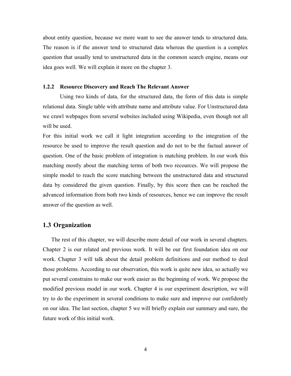about entity question, because we more want to see the answer tends to structured data. The reason is if the answer tend to structured data whereas the question is a complex question that usually tend to unstructured data in the common search engine, means our idea goes well. We will explain it more on the chapter 3.

#### **1.2.2 Resource Discovery and Reach The Relevant Answer**

Using two kinds of data, for the structured data, the form of this data is simple relational data. Single table with attribute name and attribute value. For Unstructured data we crawl webpages from several websites included using Wikipedia, even though not all will be used.

For this initial work we call it light integration according to the integration of the resource be used to improve the result question and do not to be the factual answer of question. One of the basic problem of integration is matching problem. In our work this matching mostly about the matching terms of both two recources. We will propose the simple model to reach the score matching between the unstructured data and structured data by considered the given question. Finally, by this score then can be reached the advanced information from both two kinds of resources, hence we can improve the result answer of the question as well.

## **1.3 Organization**

The rest of this chapter, we will describe more detail of our work in several chapters. Chapter 2 is our related and previous work. It will be our first foundation idea on our work. Chapter 3 will talk about the detail problem definitions and our method to deal those problems. According to our observation, this work is quite new idea, so actually we put several constrains to make our work easier as the beginning of work. We propose the modified previous model in our work. Chapter 4 is our experiment description, we will try to do the experiment in several conditions to make sure and improve our confidently on our idea. The last section, chapter 5 we will briefly explain our summary and sure, the future work of this initial work.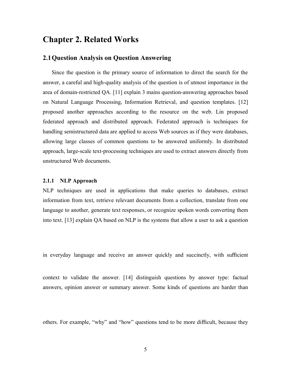## **Chapter 2. Related Works**

## **2.1Question Analysis on Question Answering**

Since the question is the primary source of information to direct the search for the answer, a careful and high-quality analysis of the question is of utmost importance in the area of domain-restricted QA. [11] explain 3 mains question-answering approaches based on Natural Language Processing, Information Retrieval, and question templates. [12] proposed another approaches according to the resource on the web. Lin proposed federated approach and distributed approach. Federated approach is techniques for handling semistructured data are applied to access Web sources as if they were databases, allowing large classes of common questions to be answered uniformly. In distributed approach, large-scale text-processing techniques are used to extract answers directly from unstructured Web documents.

#### **2.1.1 NLP Approach**

NLP techniques are used in applications that make queries to databases, extract information from text, retrieve relevant documents from a collection, translate from one language to another, generate text responses, or recognize spoken words converting them into text. [13] explain QA based on NLP is the systems that allow a user to ask a question

in everyday language and receive an answer quickly and succinctly, with sufficient

context to validate the answer. [14] distinguish questions by answer type: factual answers, opinion answer or summary answer. Some kinds of questions are harder than

others. For example, "why" and "how" questions tend to be more difficult, because they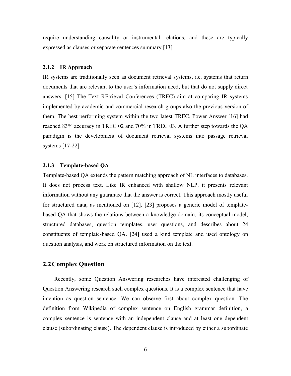require understanding causality or instrumental relations, and these are typically expressed as clauses or separate sentences summary [13].

#### **2.1.2 IR Approach**

IR systems are traditionally seen as document retrieval systems, i.e. systems that return documents that are relevant to the user's information need, but that do not supply direct answers. [15] The Text REtrieval Conferences (TREC) aim at comparing IR systems implemented by academic and commercial research groups also the previous version of them. The best performing system within the two latest TREC, Power Answer [16] had reached 83% accuracy in TREC 02 and 70% in TREC 03. A further step towards the QA paradigm is the development of document retrieval systems into passage retrieval systems [17-22].

## **2.1.3 Template-based QA**

Template-based QA extends the pattern matching approach of NL interfaces to databases. It does not process text. Like IR enhanced with shallow NLP, it presents relevant information without any guarantee that the answer is correct. This approach mostly useful for structured data, as mentioned on [12]. [23] proposes a generic model of templatebased QA that shows the relations between a knowledge domain, its conceptual model, structured databases, question templates, user questions, and describes about 24 constituents of template-based QA. [24] used a kind template and used ontology on question analysis, and work on structured information on the text.

## **2.2Complex Question**

Recently, some Question Answering researches have interested challenging of Question Answering research such complex questions. It is a complex sentence that have intention as question sentence. We can observe first about complex question. The definition from Wikipedia of complex sentence on English grammar definition, a complex sentence is sentence with an independent clause and at least one dependent clause (subordinating clause). The dependent clause is introduced by either a subordinate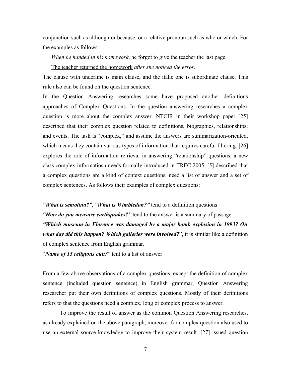conjunction such as although or because, or a relative pronoun such as who or which. For the examples as follows:

*When he handed in his homework*, he forgot to give the teacher the last page.

The teacher returned the homework *after she noticed the error.*

The clause with underline is main clause, and the italic one is subordinate clause. This rule also can be found on the question sentence.

In the Question Answering researches some have proposed another definitions approaches of Complex Questions. In the question answering researches a complex question is more about the complex answer. NTCIR in their workshop paper [25] described that their complex question related to definitions, biographies, relationships, and events. The task is "complex," and assume the answers are summarization-oriented, which means they contain various types of information that requires careful filtering. [26] explores the role of information retrieval in answering "relationship" questions, a new class complex informatiosn needs formally introduced in TREC 2005. [5] described that a complex questions are a kind of context questions, need a list of answer and a set of complex sentences. As follows their examples of complex questions:

*"What is semolina?"*, *"What is Wimbledon?"* tend to a definition questions *"How do you measure earthquakes?"* tend to the answer is a summary of passage *"Which museum in Florence was damaged by a major bomb explosion in 1993? On what day did this happen? Which galleries were involved?*", it is similar like a definition of complex sentence from English grammar.

"*Name of 15 religious cult?*" tent to a list of answer

From a few above observations of a complex questions, except the definition of complex sentence (included question sentence) in English grammar, Question Answering researcher put their own definitions of complex questions. Mostly of their definitions refers to that the questions need a complex, long or complex process to answer.

To improve the result of answer as the common Question Answering researches, as already explained on the above paragraph, moreover for complex question also used to use an external source knowledge to improve their system result. [27] issued question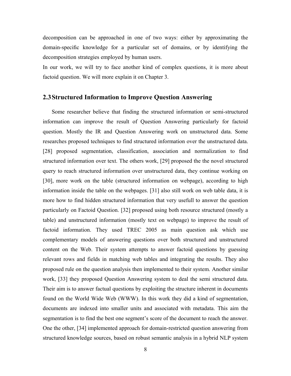decomposition can be approached in one of two ways: either by approximating the domain-specific knowledge for a particular set of domains, or by identifying the decomposition strategies employed by human users.

In our work, we will try to face another kind of complex questions, it is more about factoid question. We will more explain it on Chapter 3.

## **2.3Structured Information to Improve Question Answering**

Some researcher believe that finding the structured information or semi-structured information can improve the result of Question Answering particularly for factoid question. Mostly the IR and Question Answering work on unstructured data. Some researches proposed techniques to find structured information over the unstructured data. [28] proposed segmentation, classification, association and normalization to find structured information over text. The others work, [29] proposed the the novel structured query to reach structured information over unstructured data, they continue working on [30], more work on the table (structured information on webpage), according to high information inside the table on the webpages. [31] also still work on web table data, it is more how to find hidden structured information that very usefull to answer the question particularly on Factoid Question. [32] proposed using both resource structured (mostly a table) and unstructured information (mostly text on webpage) to improve the result of factoid information. They used TREC 2005 as main question ask which use complementary models of answering questions over both structured and unstructured content on the Web. Their system attempts to answer factoid questions by guessing relevant rows and fields in matching web tables and integrating the results. They also proposed rule on the question analysis then implemented to their system. Another similar work, [33] they proposed Question Answering system to deal the semi structured data. Their aim is to answer factual questions by exploiting the structure inherent in documents found on the World Wide Web (WWW). In this work they did a kind of segmentation, documents are indexed into smaller units and associated with metadata. This aim the segmentation is to find the best one segment's score of the document to reach the answer. One the other, [34] implemented approach for domain-restricted question answering from structured knowledge sources, based on robust semantic analysis in a hybrid NLP system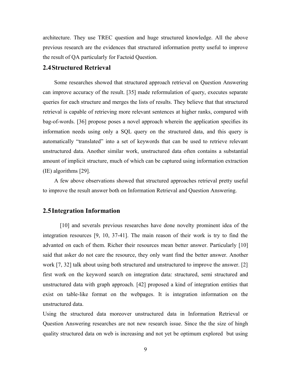architecture. They use TREC question and huge structured knowledge. All the above previous research are the evidences that structured information pretty useful to improve the result of QA particularly for Factoid Question.

## **2.4Structured Retrieval**

Some researches showed that structured approach retrieval on Question Answering can improve accuracy of the result. [35] made reformulation of query, executes separate queries for each structure and merges the lists of results. They believe that that structured retrieval is capable of retrieving more relevant sentences at higher ranks, compared with bag-of-words. [36] propose poses a novel approach wherein the application specifies its information needs using only a SQL query on the structured data, and this query is automatically "translated" into a set of keywords that can be used to retrieve relevant unstructured data. Another similar work, unstructured data often contains a substantial amount of implicit structure, much of which can be captured using information extraction (IE) algorithms [29].

A few above observations showed that structured approaches retrieval pretty useful to improve the result answer both on Information Retrieval and Question Answering.

## **2.5Integration Information**

[10] and severals previous researches have done novelty prominent idea of the integration resources [9, 10, 37-41]. The main reason of their work is try to find the advanted on each of them. Richer their resources mean better answer. Particularly [10] said that asker do not care the resource, they only want find the better answer. Another work [7, 32] talk about using both structured and unstructured to improve the answer. [2] first work on the keyword search on integration data: structured, semi structured and unstructured data with graph approach. [42] proposed a kind of integration entities that exist on table-like format on the webpages. It is integration information on the unstructured data.

Using the structured data moreover unstructured data in Information Retrieval or Question Answering researches are not new research issue. Since the the size of hingh quality structured data on web is increasing and not yet be optimum explored but using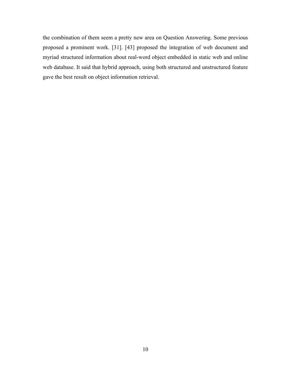the combination of them seem a pretty new area on Question Answering. Some previous proposed a prominent work. [31]. [43] proposed the integration of web document and myriad structured information about real-word object embedded in static web and online web database. It said that hybrid approach, using both structured and unstructured feature gave the best result on object information retrieval.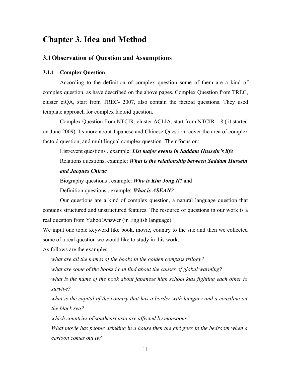## **Chapter 3. Idea and Method**

## **3.1Observation of Question and Assumptions**

#### **3.1.1 Complex Question**

According to the definition of complex question some of them are a kind of complex question, as have described on the above pages. Complex Question from TREC, cluster ciQA, start from TREC- 2007, also contain the factoid questions. They used template approach for complex factoid question.

Complex Question from NTCIR, cluster ACLIA, start from NTCIR – 8 ( it started on June 2009). Its more about Japanese and Chinese Question, cover the area of complex factoid question, and multilingual complex question. Their focus on:

List/event questions , example: *List major events in Saddam Hussein's life* Relations questions, example: *What is the relationship between Saddam Hussein and Jacques Chirac*

Biography questions , example: *Who is Kim Jong Il***?** and Definition questions , example: *What is ASEAN?*

Our questions are a kind of complex question, a natural language question that contains structured and unstructured features. The resource of questions in our work is a real question from Yahoo!Answer (in English language).

We input one topic keyword like book, movie, country to the site and then we collected some of a real question we would like to study in this work.

As follows are the examples:

*what are all the names of the books in the golden compass trilogy? what are some of the books i can find about the causes of global warming? what is the name of the book about japanese high school kids fighting each other to survive?*

*what is the capital of the country that has a border with hungary and a coastline on the black sea?*

*which countries of southeast asia are affected by monsoons?*

*What movie has people drinking in a house then the girl goes in the bedroom when a cartoon comes out tv?*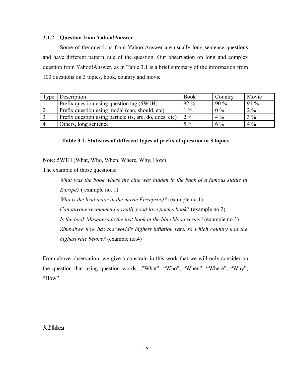### **3.1.2 Question from Yahoo!Answer**

Some of the questions from Yahoo!Answer are usually long sentence questions and have different pattern rule of the question. Our observation on long and complex question from Yahoo!Answer, as in Table 3.1 is a brief summary of the information from 100 questions on 3 topics, book, country and movie

| T <sub>Y</sub> | Description                                             | <b>Book</b>   | Country | Movie  |
|----------------|---------------------------------------------------------|---------------|---------|--------|
|                | Prefix question using question tag (5W1H)               | $92\%$        | $90\%$  | $91\%$ |
|                | Prefix question using modal (can, should, etc)          | $\frac{0}{0}$ | $0\%$   | $2\%$  |
|                | Prefix question using particle (is, are, do, does, etc) | $2\%$         | $4\%$   | $3\%$  |
|                | Others, long sentence                                   | $5\%$         | $6\%$   | $4\%$  |

## **Table 3.1. Statistics of different types of prefix of question in 3 topics**

Note: 5W1H (What, Who, When, Where, Why, How)

The example of those questions:

*What was the book where the clue was hidden in the back of a famous statue in Europe?* ( example no. 1)

*Who is the lead actor in the movie Fireeproof?* (example no.1)

*Can anyone recommend a really good love poems book?* (example no.2)

*Is the book Masquerade the last book in the blue blood series?* (example no.3)

*Zimbabwe now has the world's highest inflation rate, so which country had the highest rate before?* (example no.4)

From above observation, we give a constrain in this work that we will only consider on the question that using question words, ,"What", "Who", "When", "Where", "Why", "How"

## **3.2Idea**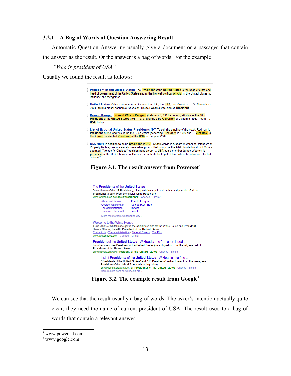#### **3.2.1 A Bag of Words of Question Answering Result**

Automatic Question Answering usually give a document or a passages that contain the answer as the result. Or the answer is a bag of words. For the example

*"Who is president of USA"*

Usually we found the result as follows:



We can see that the result usually a bag of words. The asker's intention actually quite clear, they need the name of current president of USA. The result used to a bag of words that contain a relevant answer.

<span id="page-20-0"></span>3 www.powerset.com

<span id="page-20-1"></span>4 www.google.com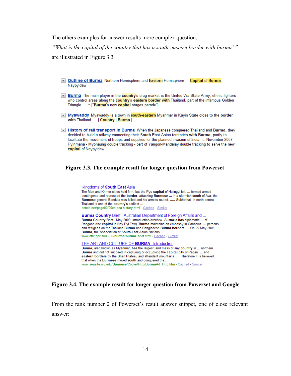The others examples for answer results more complex question,

*"What is the capital of the country that has a south-eastern border with burma?"* are illustrated in Figure 3.3

- Outline of Burma Northern Hemisphere and Eastern Hemisphere ... Capital of Burma: Naypyidaw
- ▼ Burma The main player in the country's drug market is the United Wa State Army, ethnic fighters who control areas along the **country's eastern border with** Thailand, part of the infamous Golden Triangle. ... 1 ["Burma's new capital stages parade"].
- V Myawaddy Myawaddy is a town in **south-eastern** Myanmar in Kayin State close to the border with Thailand. ... | Country | Burma |
- In History of rail transport in Burma When the Japanese conquered Thailand and Burma, they decided to build a railway connecting their South East Asian territories with Burma, partly to facilitate the movement of troops and supplies for the planned invasion of India. ... November 2007: Pyinmana - Myohaung double tracking - part of Yangon-Mandalay double tracking to serve the new capital of Naypyidaw.

#### **Figure 3.3. The example result for longer question from Powerset**

#### **Kingdoms of South East Asia** The Mon and Khmer cities held firm, but the Pyu capital of Halingyi fell. ... formed armed contingents and recrossed the border, attacking Burmese ... In a skirmish south of Ava, the Burmese general Bandula was killed and his armies routed. ..... Sukhothai, in north-central Thailand is one of the country's earliest ... berclo.net/page00/00en-sea-history.html - Cached - Similar **Burma Country Brief - Australian Department of Foreign Affairs and ...** Burma Country Brief - May 2009. Introduction/overview. Australia has diplomatic ... of Rangoon (the capital is Nay Pyi Taw). Burma maintains an embassy in Canberra. ... persons and refugees on the Thailand-Burma and Bangladesh-Burma borders. ... On 25 May 2008, Burma, the Association of South-East Asian Nations ... www.dfat.gov.au/GEO/burma/burma\_brief.html - Cached - Similar THE ART AND CULTURE OF BURMA - Introduction

Burma, also known as Myanmar, has the largest land mass of any country in ... northern Burma and did not succeed in capturing or occupying the capital city of Pagan. ... and eastern borders by the Shan Plateau and attendant mountains. .... Therefore it is believed that when the Burmese moved south and conquered the ... www.seasite.niu.edu/Burmese/Cooler/Intro/BurmaArt\_Intro.htm - Cached - Similar

#### **Figure 3.4. The example result for longer question from Powerset and Google**

From the rank number 2 of Powerset's result answer snippet, one of close relevant answer: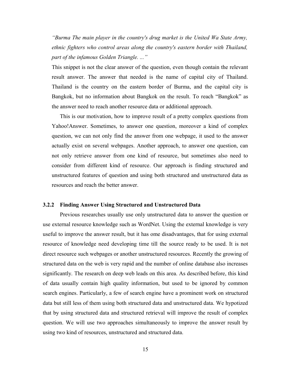*"Burma The main player in the country's drug market is the United Wa State Army, ethnic fighters who control areas along the country's eastern border with Thailand, part of the infamous Golden Triangle. ..."*

This snippet is not the clear answer of the question, even though contain the relevant result answer. The answer that needed is the name of capital city of Thailand. Thailand is the country on the eastern border of Burma, and the capital city is Bangkok, but no information about Bangkok on the result. To reach "Bangkok" as the answer need to reach another resource data or additional approach.

This is our motivation, how to improve result of a pretty complex questions from Yahoo!Answer. Sometimes, to answer one question, moreover a kind of complex question, we can not only find the answer from one webpage, it used to the answer actually exist on several webpages. Another approach, to answer one question, can not only retrieve answer from one kind of resource, but sometimes also need to consider from different kind of resource. Our approach is finding structured and unstructured features of question and using both structured and unstructured data as resources and reach the better answer.

#### **3.2.2 Finding Answer Using Structured and Unstructured Data**

Previous researches usually use only unstructured data to answer the question or use external resource knowledge such as WordNet. Using the external knowledge is very useful to improve the answer result, but it has ome disadvantages, that for using external resource of knowledge need developing time till the source ready to be used. It is not direct resource such webpages or another unstructured resources. Recently the growing of structured data on the web is very rapid and the number of online database also increases significantly. The research on deep web leads on this area. As described before, this kind of data usually contain high quality information, but used to be ignored by common search engines. Particularly, a few of search engine have a prominent work on structured data but still less of them using both structured data and unstructured data. We hypotized that by using structured data and structured retrieval will improve the result of complex question. We will use two approaches simultaneously to improve the answer result by using two kind of resources, unstructured and structured data.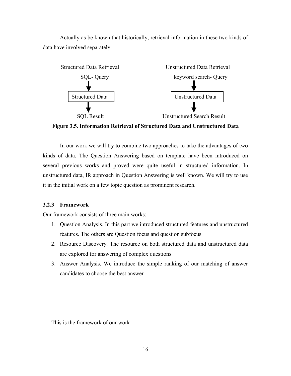Actually as be known that historically, retrieval information in these two kinds of data have involved separately.



**Figure 3.5. Information Retrieval of Structured Data and Unstructured Data**

In our work we will try to combine two approaches to take the advantages of two kinds of data. The Question Answering based on template have been introduced on several previous works and proved were quite useful in structured information. In unstructured data, IR approach in Question Answering is well known. We will try to use it in the initial work on a few topic question as prominent research.

## **3.2.3 Framework**

Our framework consists of three main works:

- 1. Question Analysis. In this part we introduced structured features and unstructured features. The others are Question focus and question subfocus
- 2. Resource Discovery. The resource on both structured data and unstructured data are explored for answering of complex questions
- 3. Answer Analysis. We introduce the simple ranking of our matching of answer candidates to choose the best answer

This is the framework of our work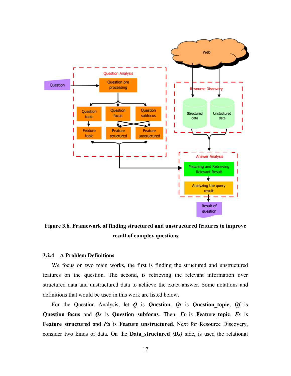

**Figure 3.6. Framework of finding structured and unstructured features to improve result of complex questions**

#### **3.2.4 A Problem Definitions**

We focus on two main works, the first is finding the structured and unstructured features on the question. The second, is retrieving the relevant information over structured data and unstructured data to achieve the exact answer. Some notations and definitions that would be used in this work are listed below.

For the Question Analysis, let *Q* is **Question**, *Qt* is **Question\_topic**, *Qf* is **Question focus** and *Qs* is Question subfocus. Then, *Ft* is Feature topic, *Fs* is **Feature structured** and *Fu* is **Feature unstructured**. Next for Resource Discovery, consider two kinds of data. On the **Data\_structured** *(Ds)* side, is used the relational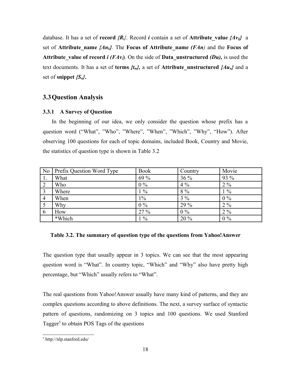database. It has a set of **record**  ${R_i}$ . Record *i* contain a set of Attribute value  ${Av_{ii}}$  a set of **Attribute** name  $\{An_k\}$ . The **Focus of Attribute** name  $(FAn)$  and the **Focus of Attribute** value of record *i* (*FAv*<sub>*i*</sub>). On the side of **Data** unstructured (*Du*), is used the text documents. It has a set of **terms** *{tm},* a set of **Attribute\_unstructured** *{Aun}* and a set of **snippet** *{Su}***.**

## **3.3Question Analysis**

#### **3.3.1 A Survey of Question**

In the beginning of our idea, we only consider the question whose prefix has a question word ("What", "Who", "Where", "When", "Which", "Why", "How"). After observing 100 questions for each of topic domains, included Book, Country and Movie, the statistics of question type is shown in Table 3.2

| $\overline{N_0}$ | Prefix Question Word Type | <b>Book</b> | Country | Movie |
|------------------|---------------------------|-------------|---------|-------|
| $\mathbf{1}$ .   | What                      | 69 %        | $36\%$  | 93 %  |
| $\vert 2 \vert$  | Who                       | $0\%$       | $4\%$   | $2\%$ |
| $\vert 3 \vert$  | Where                     | $1\%$       | $8\%$   | $1\%$ |
| $\overline{4}$   | When                      | $1\%$       | $3\%$   | $0\%$ |
|                  | Why                       | $0\%$       | 29 %    | $2\%$ |
| -6               | How                       | 27%         | $0\%$   | $2\%$ |
|                  | *Which                    | $1\%$       | 20 %    | $0\%$ |

#### **Table 3.2. The summary of question type of the questions from Yahoo!Answer**

The question type that usually appear in 3 topics. We can see that the most appearing question word is "What". In country topic, "Which" and "Why" also have pretty high percentage, but "Which" usually refers to "What".

The real questions from Yahoo!Answer usually have many kind of patterns, and they are complex questions according to above definitions. The next, a survey surface of syntactic pattern of questions, randomizing on 3 topics and 100 questions. We used Stanford Tagger<sup>[5](#page-25-0)</sup> to obtain POS Tags of the questions

<span id="page-25-0"></span><sup>5</sup> http://nlp.stanford.edu/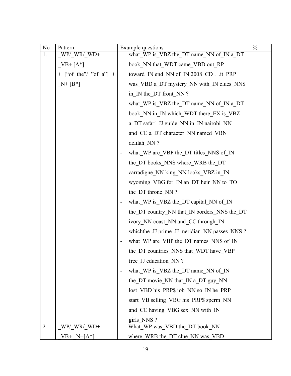| $\rm No$       | Pattern                | Example questions                             | $\frac{0}{0}$ |
|----------------|------------------------|-----------------------------------------------|---------------|
| 1.             | $W$ P/WR/WD+           | what_WP is_VBZ the_DT name_NN of IN a DT      |               |
|                | $VB+ [A^*]$            | book NN that WDT came VBD out RP              |               |
|                | + ["of the"/ "of a"] + | toward_IN end_NN of_IN 2008_CD ._it_PRP       |               |
|                | $N+[B^*]$              | was_VBD a_DT mystery_NN with_IN clues_NNS     |               |
|                |                        | in IN the DT front NN?                        |               |
|                |                        | what WP is VBZ the DT name NN of IN a DT      |               |
|                |                        | book_NN in_IN which_WDT there_EX is_VBZ       |               |
|                |                        | a DT safari JJ guide NN in IN nairobi NN      |               |
|                |                        | and CC a_DT character_NN named_VBN            |               |
|                |                        | delilah NN ?                                  |               |
|                |                        | what_WP are_VBP the_DT titles_NNS of IN       |               |
|                |                        | the DT books NNS where WRB the DT             |               |
|                |                        | carradigne_NN king_NN looks_VBZ in_IN         |               |
|                |                        | wyoming_VBG for_IN an_DT heir_NN to_TO        |               |
|                |                        | the DT throne NN?                             |               |
|                |                        | what WP is VBZ the DT capital NN of IN        |               |
|                |                        | the_DT country_NN that_IN borders_NNS the_DT  |               |
|                |                        | ivory_NN coast_NN and_CC through_IN           |               |
|                |                        | which the JJ prime JJ meridian NN passes NNS? |               |
|                |                        | what_WP are_VBP the_DT names_NNS of_IN        |               |
|                |                        | the DT countries NNS that WDT have VBP        |               |
|                |                        | free JJ education NN?                         |               |
|                |                        | what WP is VBZ the DT name NN of IN           |               |
|                |                        | the DT movie NN that IN a DT guy NN           |               |
|                |                        | lost VBD his PRP\$ job NN so IN he PRP        |               |
|                |                        | start VB selling VBG his PRP\$ sperm NN       |               |
|                |                        | and CC having VBG sex NN with IN              |               |
|                |                        | girls NNS?                                    |               |
| $\overline{2}$ | $W$ P/_WR/_WD+         | What_WP was_VBD the_DT book_NN                |               |
|                | $VB^+$ $N+[A^*]$       | where WRB the DT clue NN was VBD              |               |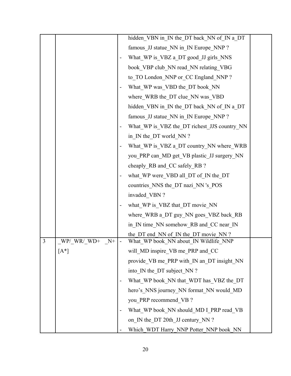|   |                      |                          | hidden VBN in IN the DT back NN of IN a DT   |  |
|---|----------------------|--------------------------|----------------------------------------------|--|
|   |                      |                          | famous_JJ statue_NN in_IN Europe_NNP?        |  |
|   |                      |                          | What WP is VBZ a DT good JJ girls NNS        |  |
|   |                      |                          | book VBP club NN read NN relating VBG        |  |
|   |                      |                          | to_TO London_NNP or_CC England_NNP?          |  |
|   |                      |                          | What_WP was_VBD the_DT book_NN               |  |
|   |                      |                          | where WRB the DT clue NN was VBD             |  |
|   |                      |                          | hidden VBN in IN the DT back NN of IN a DT   |  |
|   |                      |                          | famous JJ statue NN in IN Europe NNP?        |  |
|   |                      |                          | What_WP is_VBZ the_DT richest_JJS country_NN |  |
|   |                      |                          | in IN the DT world NN?                       |  |
|   |                      |                          | What_WP is_VBZ a_DT country_NN where_WRB     |  |
|   |                      |                          | you_PRP can_MD get_VB plastic_JJ surgery_NN  |  |
|   |                      |                          | cheaply_RB and_CC safely_RB ?                |  |
|   |                      |                          | what_WP were_VBD all_DT of_IN the_DT         |  |
|   |                      |                          | countries NNS the DT nazi NN 's POS          |  |
|   |                      |                          | invaded VBN?                                 |  |
|   |                      |                          | what WP is VBZ that DT movie NN              |  |
|   |                      |                          | where WRB a DT guy NN goes VBZ back RB       |  |
|   |                      |                          | in IN time NN somehow RB and CC near IN      |  |
|   |                      |                          | the DT end NN of IN the DT movie NN?         |  |
| 3 | $W$ P/WR/WD+<br>$N+$ | $\overline{\phantom{a}}$ | What WP book NN about IN Wildlife NNP        |  |
|   | $[A^*]$              |                          | will MD inspire VB me PRP and CC             |  |
|   |                      |                          | provide_VB me_PRP with_IN an_DT insight_NN   |  |
|   |                      |                          | into IN the DT subject NN?                   |  |
|   |                      |                          | What_WP book_NN that_WDT has_VBZ the_DT      |  |
|   |                      |                          | hero's NNS journey NN format NN would MD     |  |
|   |                      |                          | you PRP recommend VB?                        |  |
|   |                      |                          | What_WP book_NN should_MD I_PRP read_VB      |  |
|   |                      |                          | on IN the DT 20th JJ century NN ?            |  |
|   |                      |                          | Which WDT Harry NNP Potter NNP book NN       |  |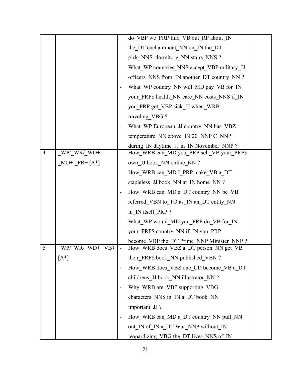|                |                 |                              | do VBP we PRP find VB out RP about IN        |  |
|----------------|-----------------|------------------------------|----------------------------------------------|--|
|                |                 |                              | the DT enchantment NN on IN the DT           |  |
|                |                 |                              | girls_NNS_dormitory_NN stairs_NNS ?          |  |
|                |                 |                              | What WP countries NNS accept VBP military JJ |  |
|                |                 |                              | officers NNS from IN another DT country NN?  |  |
|                |                 |                              | What_WP country_NN will_MD pay_VB for_IN     |  |
|                |                 |                              | your_PRP\$ health_NN care_NN costs_NNS if_IN |  |
|                |                 |                              | you PRP get VBP sick JJ when WRB             |  |
|                |                 |                              | traveling VBG?                               |  |
|                |                 |                              | What_WP European_JJ country_NN has_VBZ       |  |
|                |                 |                              | temperature NN above IN 20 NNP C NNP         |  |
|                |                 |                              | during IN daytime JJ in IN November NNP?     |  |
| $\overline{4}$ | $W$ P/_WR/_WD+  | $\qquad \qquad \blacksquare$ | How WRB can MD you PRP sell VB your PRP\$    |  |
|                | $MD+ PR+[A^*]$  |                              | own JJ book NN online NN?                    |  |
|                |                 |                              | How_WRB can_MD I_PRP make_VB a_DT            |  |
|                |                 |                              | stapleless_JJ book_NN at_IN home_NN ?        |  |
|                |                 |                              | How_WRB can_MD a_DT country_NN be_VB         |  |
|                |                 |                              | referred_VBN to_TO as_IN an_DT entity_NN     |  |
|                |                 |                              | in IN itself PRP?                            |  |
|                |                 |                              | What WP would MD you PRP do VB for IN        |  |
|                |                 |                              | your_PRP\$ country_NN if_IN you_PRP          |  |
|                |                 |                              | become VBP the DT Prime NNP Minister NNP?    |  |
| 5              | $W$ P/WR/WD+VB+ |                              | How WRB does VBZ a DT person NN get VB       |  |
|                | $[A^*]$         |                              | their PRP\$ book NN published VBN?           |  |
|                |                 |                              | How WRB does VBZ one CD become VB a DT       |  |
|                |                 |                              | childrens JJ book NN illustrator NN ?        |  |
|                |                 |                              | Why WRB are VBP supporting VBG               |  |
|                |                 |                              | characters_NNS in _IN a_DT book_NN           |  |
|                |                 |                              | important JJ?                                |  |
|                |                 |                              | How_WRB can_MD a_DT country_NN pull_NN       |  |
|                |                 |                              | out IN of IN a DT War NNP without IN         |  |
|                |                 |                              | jeopardizing_VBG the_DT lives_NNS of_IN      |  |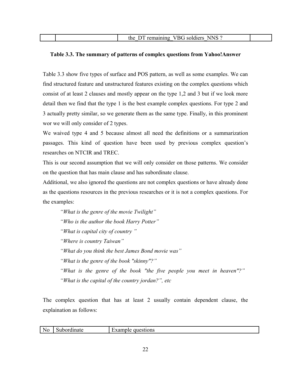| $\sqrt{R}G$<br><b>NNS</b><br>soldiers<br>the<br>remaining |  |
|-----------------------------------------------------------|--|
|                                                           |  |

## **Table 3.3. The summary of patterns of complex questions from Yahoo!Answer**

Table 3.3 show five types of surface and POS pattern, as well as some examples. We can find structured feature and unstructured features existing on the complex questions which consist of at least 2 clauses and mostly appear on the type 1,2 and 3 but if we look more detail then we find that the type 1 is the best example complex questions. For type 2 and 3 actually pretty similar, so we generate them as the same type. Finally, in this prominent wor we will only consider of 2 types.

We waived type 4 and 5 because almost all need the definitions or a summarization passages. This kind of question have been used by previous complex question's researches on NTCIR and TREC.

This is our second assumption that we will only consider on those patterns. We consider on the question that has main clause and has subordinate clause.

Additional, we also ignored the questions are not complex questions or have already done as the questions resources in the previous researches or it is not a complex questions. For the examples:

*"What is the genre of the movie Twilight" "Who is the author the book Harry Potter" "What is capital city of country " "Where is country Taiwan" "What do you think the best James Bond movie was" "What is the genre of the book "skinny"?" "What is the genre of the book "the five people you meet in heaven"?" "What is the capital of the country jordan?", etc*

The complex question that has at least 2 usually contain dependent clause, the explaination as follows:

|  | $\overline{\phantom{a}}$ No | .dinate<br>. | stions<br>. വലഘ<br>. III.<br>$\sim$ |
|--|-----------------------------|--------------|-------------------------------------|
|--|-----------------------------|--------------|-------------------------------------|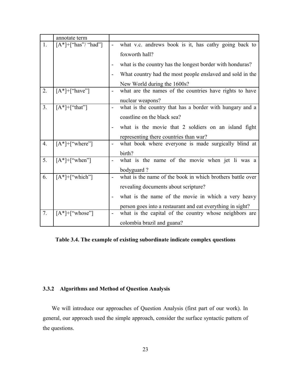|    | annotate term            |                          |                                                            |
|----|--------------------------|--------------------------|------------------------------------------------------------|
| 1. | $[A^*]+[''has''/ "had"]$ |                          | what v.c. andrews book is it, has cathy going back to      |
|    |                          |                          | foxworth hall?                                             |
|    |                          |                          | what is the country has the longest border with honduras?  |
|    |                          |                          | What country had the most people enslaved and sold in the  |
|    |                          |                          | New World during the 1600s?                                |
| 2. | $[A^*]+[''have'']$       | $\overline{\phantom{0}}$ | what are the names of the countries have rights to have    |
|    |                          |                          | nuclear weapons?                                           |
| 3. | $[A^*]+$ ["that"]        | $\overline{\phantom{0}}$ | what is the country that has a border with hungary and a   |
|    |                          |                          | coastline on the black sea?                                |
|    |                          |                          | what is the movie that 2 soldiers on an island fight       |
|    |                          |                          | representing there countries than war?                     |
| 4. | $[A^*]+[''where'']$      |                          | what book where everyone is made surgically blind at       |
|    |                          |                          | birth?                                                     |
| 5. | $[A^*]+[''when'']$       |                          | what is the name of the movie when jet li was a            |
|    |                          |                          | bodyguard?                                                 |
| 6. | $[A^*]+[''which"]$       |                          | what is the name of the book in which brothers battle over |
|    |                          |                          | revealing documents about scripture?                       |
|    |                          |                          | what is the name of the movie in which a very heavy        |
|    |                          |                          | person goes into a restaurant and eat everything in sight? |
| 7. | $[A^*]+[''whose$ "]      |                          | what is the capital of the country whose neighbors are     |
|    |                          |                          | colombia brazil and guana?                                 |

**Table 3.4. The example of existing subordinate indicate complex questions**

## **3.3.2 Algorithms and Method of Question Analysis**

We will introduce our approaches of Question Analysis (first part of our work). In general, our approach used the simple approach, consider the surface syntactic pattern of the questions.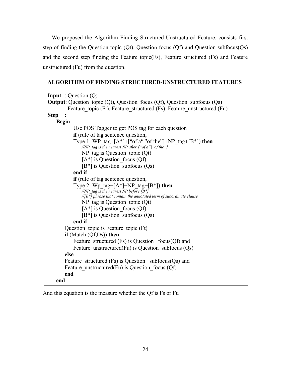We proposed the Algorithm Finding Structured-Unstructured Feature, consists first step of finding the Question topic (Qt), Question focus (Qf) and Question subfocus(Qs) and the second step finding the Feature topic(Fs), Feature structured (Fs) and Feature unstructured (Fu) from the question.

| <b>ALGORITHM OF FINDING STRUCTURED-UNSTRUCTURED FEATURES</b>                                                                                                                                       |
|----------------------------------------------------------------------------------------------------------------------------------------------------------------------------------------------------|
| <b>Input</b> : Question $(Q)$<br><b>Output:</b> Question topic $(Qt)$ , Question focus $(Qf)$ , Question subfocus $(Qs)$<br>Feature topic (Ft), Feature structured (Fs), Feature unstructured (Fu) |
| <b>Step</b>                                                                                                                                                                                        |
| <b>Begin</b>                                                                                                                                                                                       |
| Use POS Tagger to get POS tag for each question                                                                                                                                                    |
| if (rule of tag sentence question,                                                                                                                                                                 |
| Type 1: WP tag+ $[A^*]+$ ["of a" "of the"]+NP tag+ $[B^*]$ ) then<br>//NP tag is the nearest NP after $\int$ "of a" " of the"]                                                                     |
| $NP$ tag is Question topic $(Qt)$                                                                                                                                                                  |
| $[A^*]$ is Question_focus (Qf)                                                                                                                                                                     |
| $[B^*]$ is Question subfocus $(Qs)$                                                                                                                                                                |
| end if                                                                                                                                                                                             |
| <b>if</b> (rule of tag sentence question,                                                                                                                                                          |
| Type 2: Wp tag+[ $A^*$ ]+NP tag+[ $B^*$ ]) then<br>//NP tag is the nearest NP before $[B^*]$                                                                                                       |
| $\sqrt{ B^* }$ phrase that contain the annotated term of subordinate clause                                                                                                                        |
| $NP$ tag is Question topic $(Qt)$                                                                                                                                                                  |
| $[A^*]$ is Question focus (Qf)                                                                                                                                                                     |
| $[B^*]$ is Question subfocus $(Qs)$                                                                                                                                                                |
| end if                                                                                                                                                                                             |
| Question topic is Feature topic (Ft)                                                                                                                                                               |
| if (Match $(Qf,Ds)$ ) then                                                                                                                                                                         |
| Feature structured $(Fs)$ is Question focus(Qf) and                                                                                                                                                |
| Feature unstructured $(Fu)$ is Question subfocus $(Qs)$                                                                                                                                            |
| else                                                                                                                                                                                               |
| Feature structured $(Fs)$ is Question subfocus $(Qs)$ and                                                                                                                                          |
| Feature unstructured $(Fu)$ is Question focus $(Qf)$                                                                                                                                               |
| end                                                                                                                                                                                                |
| end                                                                                                                                                                                                |
|                                                                                                                                                                                                    |

And this equation is the measure whether the Qf is Fs or Fu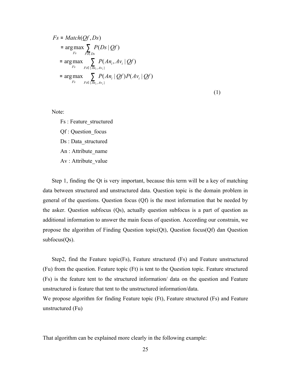$$
Fs = Match(Qf, Ds)
$$
  
= arg max  $\sum_{Fs} P(Ds | Qf)$   
= arg max  $\sum_{Fs} P(An_i, Av_i | Qf)$   
= arg max  $\sum_{Fs} P(An_i, Av_i | Qf)$   
= arg max  $\sum_{Fs} P(An_i | Qf)P(Av_i | Qf)$ 

(1)

Note:

Fs : Feature\_structured Qf : Question\_focus Ds : Data\_structured An : Attribute\_name Av : Attribute\_value

Step 1, finding the Qt is very important, because this term will be a key of matching data between structured and unstructured data. Question topic is the domain problem in general of the questions. Question focus (Qf) is the most information that be needed by the asker. Question subfocus (Qs), actually question subfocus is a part of question as additional information to answer the main focus of question. According our constrain, we propose the algorithm of Finding Question topic(Qt), Question focus(Qf) dan Question  $subfocus(Qs)$ .

Step2, find the Feature topic(Fs), Feature structured (Fs) and Feature unstructured (Fu) from the question. Feature topic (Ft) is tent to the Question topic. Feature structured (Fs) is the feature tent to the structured information/ data on the question and Feature unstructured is feature that tent to the unstructured information/data.

We propose algorithm for finding Feature topic (Ft), Feature structured (Fs) and Feature unstructured (Fu)

That algorithm can be explained more clearly in the following example: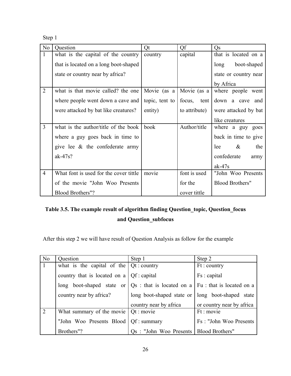Step 1

| N <sub>o</sub> | Question                               | Qt                            | Qf            | Q <sub>S</sub>         |
|----------------|----------------------------------------|-------------------------------|---------------|------------------------|
| $\mathbf{1}$   | what is the capital of the country     | country                       | capital       | that is located on a   |
|                | that is located on a long boot-shaped  |                               |               | boot-shaped<br>long    |
|                | state or country near by africa?       |                               |               | state or country near  |
|                |                                        |                               |               | by Africa              |
| $\overline{2}$ | what is that movie called? the one     | Movie (as a Movie (as a       |               | where people went      |
|                | where people went down a cave and      | topic, tent to $\vert$ focus, | tent          | down a cave and        |
|                | were attacked by bat like creatures?   | entity)                       | to attribute) | were attacked by bat   |
|                |                                        |                               |               | like creatures         |
| $\overline{3}$ | what is the author/title of the book   | book                          | Author/title  | where a guy goes       |
|                | where a guy goes back in time to       |                               |               | back in time to give   |
|                | give lee $\&$ the confederate army     |                               |               | $\&$<br>lee<br>the     |
|                | $ak-47s?$                              |                               |               | confederate<br>army    |
|                |                                        |                               |               | $ak-47s$               |
| $\overline{4}$ | What font is used for the cover tittle | movie                         | font is used  | "John Woo Presents     |
|                | of the movie "John Woo Presents        |                               | for the       | <b>Blood Brothers"</b> |
|                | <b>Blood Brothers"?</b>                |                               | cover tittle  |                        |

## **Table 3.5. The example result of algorithm finding Question\_topic, Question\_focus and Question\_subfocus**

After this step 2 we will have result of Question Analysis as follow for the example

| N <sub>0</sub> | Question                                                                                         | Step 1                                             | Step 2                    |
|----------------|--------------------------------------------------------------------------------------------------|----------------------------------------------------|---------------------------|
| -1             | what is the capital of the $\sqrt{Q}t$ : country                                                 |                                                    | Ft: country               |
|                | country that is located on a $\sqrt{Qf}$ : capital                                               |                                                    | Fs : capital              |
|                | long boot-shaped state or $\sqrt{Q_s}$ : that is located on a $\sqrt{Fu}$ : that is located on a |                                                    |                           |
|                | country near by africa?                                                                          | long boot-shaped state or   long boot-shaped state |                           |
|                |                                                                                                  | country near by africa                             | or country near by africa |
| 2              | What summary of the movie $ $ Qt : movie                                                         |                                                    | Ft : movie                |
|                | "John Woo Presents Blood   Qf: summary                                                           |                                                    | Fs: "John Woo Presents    |
|                | Brothers"?                                                                                       | Qs: "John Woo Presents                             | Blood Brothers"           |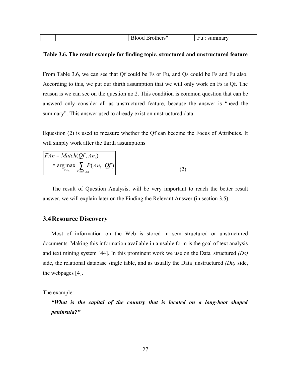| ے اتحالا |  |
|----------|--|
|----------|--|

#### **Table 3.6. The result example for finding topic, structured and unstructured feature**

From Table 3.6, we can see that Qf could be Fs or Fu, and Qs could be Fs and Fu also. According to this, we put our thirth assumption that we will only work on Fs is Qf. The reason is we can see on the question no.2. This condition is common question that can be answerd only consider all as unstructured feature, because the answer is "need the summary". This answer used to already exist on unstructured data.

Equestion (2) is used to measure whether the Qf can become the Focus of Attributes. It will simply work after the thirth assumptions

| $FAn = Match(Of, An_i)$                                    |  |
|------------------------------------------------------------|--|
| = $\arg \max$ $\sum P(An_i   Qf)$<br><i>FAn</i><br>FAn∈ An |  |

The result of Question Analysis, will be very important to reach the better result answer, we will explain later on the Finding the Relevant Answer (in section 3.5).

## **3.4Resource Discovery**

Most of information on the Web is stored in semi-structured or unstructured documents. Making this information available in a usable form is the goal of text analysis and text mining system [44]. In this prominent work we use on the Data\_structured *(Ds)* side, the relational database single table, and as usually the Data unstructured  $(Du)$  side, the webpages [4].

The example:

*"What is the capital of the country that is located on a long-boot shaped peninsula?"*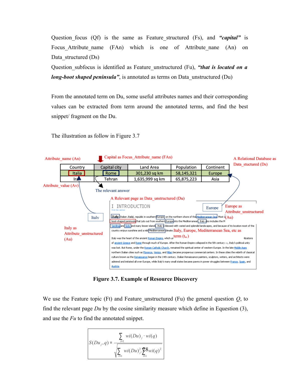Question focus (Qf) is the same as Feature structured (Fs), and *"capital"* is Focus Attribute name (FAn) which is one of Attribute nane (An) on Data structured (Ds)

Question\_subfocus is identified as Feature\_unstructured (Fu), *"that is located on a long-boot shaped peninsula*", is annotated as terms on Data unstructured (Du)

From the annotated term on Du, some useful attributes names and their corresponding values can be extracted from term around the annotated terms, and find the best snippet/ fragment on the Du.

The illustration as follow in Figure 3.7



**Figure 3.7. Example of Resource Discovery**

We use the Feature topic (Ft) and Feature\_unstructured (Fu) the general question *Q*, to find the relevant page *Du* by the cosine similarity measure which define in Equestion (3), and use the *Fu* to find the annotated snippet.

$$
S(Du_j,q) = \frac{\sum\limits_{i=1}wi(Du)_j\cdot wi(q)}{\sqrt{\sum\limits_{i=1}wi(Du)_j^2\cdot\sum\limits_{i=1}y0xi(q)^2}}
$$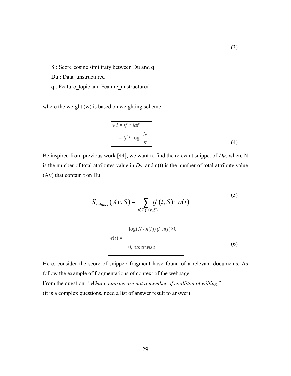S : Score cosine similiraty between Du and q

Du : Data\_unstructured

q : Feature\_topic and Feature\_unstructured

where the weight (w) is based on weighting scheme

$$
wi = tf \cdot idf
$$
  
= tf \cdot log\left(\frac{N}{n}\right) (4)

Be inspired from previous work [44], we want to find the relevant snippet of *Du*, where N is the number of total attributes value in *Ds*, and n(t) is the number of total attribute value (Av) that contain t on Du.

$$
S_{snippet}(Av, S) = \sum_{t \in T(Av, S)} tf(t, S) \cdot w(t)
$$
\n
$$
w(t) = \begin{cases} \log(N/n(t)) & \text{if } n(t) > 0 \\ 0, \text{otherwise} \end{cases}
$$
\n(5)

Here, consider the score of snippet/ fragment have found of a relevant documents. As follow the example of fragmentations of context of the webpage From the question: *"What countries are not a member of coalliton of willing"* (it is a complex questions, need a list of answer result to answer)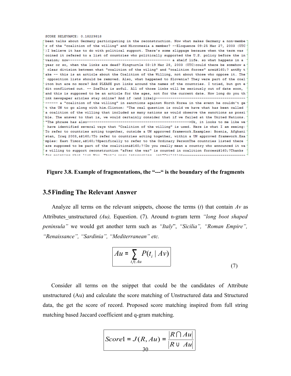SCORE RELEVANCE: 0.18229818 been talks about Germany participating in the reconstruction. Now what makes Germany a non-membe r of the "coalition of the willing" and Micronesia a member? --Eloquence 09:25 Mar 27, 2003 (UTC) I believe it has to do with political support. There's some slippage because when the term was coined it refered to a list of countries who politically supported the U.S. policy before the in year or so, when the links are dead? Kingturtle 03:19 Mar 28, 2003 (UTC) could there be somehow a clear division between what "coalition of the wiling" and "coalition forces" are ? antMy t ake -- this is an article about the Coalition of the Willing, not about those who oppose it. The opposition lists should be removed. Also, what happened to Slovenia? They were part of the coal iton but are no more? And PLEASE put links around the names of the countries. I tried, but got e dit conflicted out. -- ZoeThis is awful. All of those links will be seriously out of date soon, and this is supposed to be an article for the ages, not for the current date. How long do you th ------ a "coalition of the willing" in sanctions against North Korea in the event he couldn't ge t the UN to go along with him. Clinton: "The real question is could we have what has been called a coalition of the willing that included as many nations as would observe the sanctions as possi ble. The answer to that is, we would certainly consider that if we failed at the United Nations. have identified several ways that "Coalition of the willing" is used. Here is what I am seeing: To refer to countries acting together, outside a UN approved framework.Examples: Bosnia, Afghani' stan, Iraq 2003, ?To refer to countries acting together, within a UN approved framework. Exa mples: East Timor, ?Specifically to refer to the Ordinary PersonThe countries listed there are supposed to be part of the coalition ?!Do you really mean a country who announced it wa' s willing to support reconstruction "after the war" is counted in coalition forces ?Thanks for nointing that list May. That's were interesting sht"Caslition------

#### **Figure 3.8. Example of fragmentations, the "---" is the boundary of the fragments**

#### **3.5Finding The Relevant Answer**

Analyze all terms on the relevant snippets, choose the terms  $(t)$  that contain  $Av$  as Attributes\_unstructured *(Au),* Equestion. (7). Around n-gram term *"long boot shaped peninsula"* we would get another term such as *"Italy*", *"Sicilia", "Roman Empire", "Renaissance", "Sardinia", "Mediterranean" etc.*

$$
Au = \sum_{t_i \in Au} P(t_i \mid Av)
$$
 (7)

Consider all terms on the snippet that could be the candidates of Attribute unstructured (Au) and calculate the score matching of Unstructured data and Structured data, the get the score of record. Proposed score matching inspired from full string matching based Jaccard coefficient and q-gram matching.

|                                                   | $\left  R \bigcap Au \right $ |
|---------------------------------------------------|-------------------------------|
| Scorel = $J(R, Au) = \frac{ A  B  }{ R \cup Au }$ |                               |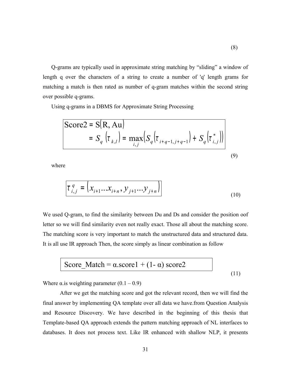Q-grams are typically used in approximate string matching by "sliding" a window of length q over the characters of a string to create a number of 'q' length grams for matching a match is then rated as number of q-gram matches within the second string over possible q-grams.

Using q-grams in a DBMS for Approximate String Processing

$$
\begin{aligned} \text{Score2} &= \mathbf{S}(\mathbf{R}, \mathbf{A} \mathbf{u}) \\ &= S_q \left( \tau_{k,l} \right) = \max_{i,j} \left( S_q \left( \tau_{i+q-1,j+q-1} \right) + S_q \left( \tau_{i,j}^* \right) \right) \end{aligned} \tag{9}
$$

where

$$
\tau_{i,j}^{q} = (x_{i+1}...x_{i+n}, y_{j+1}...y_{j+n})
$$
\n(10)

We used Q-gram, to find the similarity between Du and Ds and consider the position oof letter so we will find similarity even not really exact. Those all about the matching score. The matching score is very important to match the unstructured data and structured data. It is all use IR approach Then, the score simply as linear combination as follow

$$
Score\_Match = \alpha_score1 + (1 - \alpha) score2
$$
 (11)

Where  $\alpha$  is weighting parameter  $(0.1 - 0.9)$ 

After we get the matching score and got the relevant record, then we will find the final answer by implementing QA template over all data we have.from Question Analysis and Resource Discovery. We have described in the beginning of this thesis that Template-based QA approach extends the pattern matching approach of NL interfaces to databases. It does not process text. Like IR enhanced with shallow NLP, it presents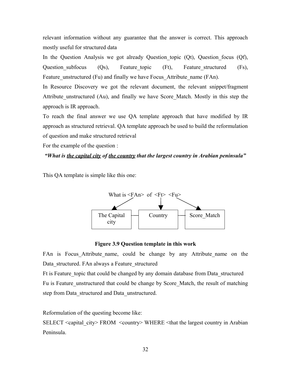relevant information without any guarantee that the answer is correct. This approach mostly useful for structured data

In the Question Analysis we got already Question topic  $(Qt)$ , Question focus  $(Qf)$ , Question subfocus (Qs), Feature topic (Ft), Feature structured (Fs), Feature unstructured (Fu) and finally we have Focus Attribute name (FAn).

In Resource Discovery we got the relevant document, the relevant snippet/fragment Attribute\_unstructured (Au), and finally we have Score\_Match. Mostly in this step the approach is IR approach.

To reach the final answer we use QA template approach that have modified by IR approach as structured retrieval. QA template approach be used to build the reformulation of question and make structured retrieval

For the example of the question :

*"What is the capital city of the country that the largest country in Arabian peninsula"*

This QA template is simple like this one:



#### **Figure 3.9 Question template in this work**

FAn is Focus Attribute name, could be change by any Attribute name on the Data\_structured. FAn always a Feature\_structured

Ft is Feature topic that could be changed by any domain database from Data structured Fu is Feature unstructured that could be change by Score Match, the result of matching step from Data\_structured and Data\_unstructured.

Reformulation of the questing become like:

SELECT <capital\_city> FROM <country> WHERE <that the largest country in Arabian Peninsula.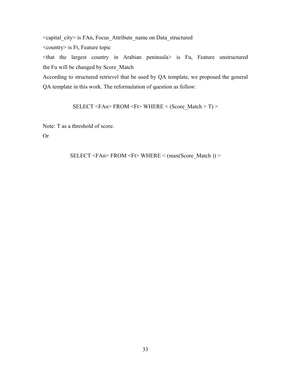<capital\_city> is FAn, Focus\_Attribute\_name on Data\_structured

<country> is Ft, Feature topic

<that the largest country in Arabian peninsula> is Fu, Feature unstructured the Fu will be changed by Score\_Match

According to structured retrievel that be used by QA template, we proposed the general QA template in this work. The reformulation of question as follow:

SELECT <FAn> FROM <Ft> WHERE < (Score\_Match > T) >

Note: T as a threshold of score.

Or

$$
SELECT < FAn > FROM < F \Rightarrow WHERE < (max(Score\_Match)) >
$$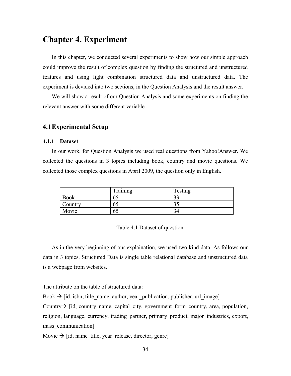## **Chapter 4. Experiment**

In this chapter, we conducted several experiments to show how our simple approach could improve the result of complex question by finding the structured and unstructured features and using light combination structured data and unstructured data. The experiment is devided into two sections, in the Question Analysis and the result answer.

We will show a result of our Question Analysis and some experiments on finding the relevant answer with some different variable.

## **4.1Experimental Setup**

### **4.1.1 Dataset**

In our work, for Question Analysis we used real questions from Yahoo!Answer. We collected the questions in 3 topics including book, country and movie questions. We collected those complex questions in April 2009, the question only in English.

|             | $\mathbf{r}$<br>Fraining | Testing         |
|-------------|--------------------------|-----------------|
| <b>Book</b> | UJ                       | $\bigcap$<br>JJ |
| Country     | OD                       | JJ              |
| Movie       | OD                       | 94              |

### Table 4.1 Dataset of question

As in the very beginning of our explaination, we used two kind data. As follows our data in 3 topics. Structured Data is single table relational database and unstructured data is a webpage from websites.

The attribute on the table of structured data:

Book  $\rightarrow$  [id, isbn, title\_name, author, year\_publication, publisher, url\_image]

Country  $\rightarrow$  [id, country name, capital city, government form country, area, population, religion, language, currency, trading partner, primary product, major industries, export, mass\_communication]

Movie  $\rightarrow$  [id, name title, year release, director, genre]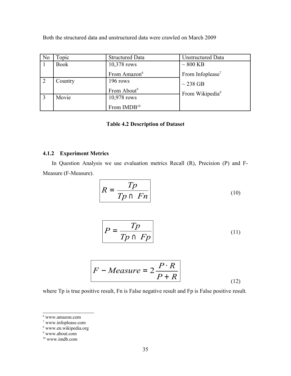| No         | Topic       | <b>Structured Data</b>   | <b>Unstructured Data</b>     |
|------------|-------------|--------------------------|------------------------------|
|            | <b>Book</b> | 10,378 rows              | $\sim 800$ KB                |
|            |             | From Amazon <sup>6</sup> | From Infoplease <sup>7</sup> |
| $\sqrt{2}$ | Country     | 196 rows                 | $\sim$ 238 GB                |
|            |             | From About <sup>9</sup>  | From Wikipedia <sup>8</sup>  |
| $\vert$ 3  | Movie       | 10,978 rows              |                              |
|            |             | From IMDB <sup>10</sup>  |                              |

Both the structured data and unstructured data were crawled on March 2009

## **Table 4.2 Description of Dataset**

## **4.1.2 Experiment Metrics**

In Question Analysis we use evaluation metrics Recall (R), Precision (P) and F-Measure (F-Measure).

$$
R = \frac{Tp}{Tp \cap Fn}
$$
 (10)

$$
P = \frac{Tp}{Tp \cap Fp} \tag{11}
$$

$$
F - Measure = 2\frac{P \cdot R}{P + R}
$$
 (12)

where Tp is true positive result, Fn is False negative result and Fp is False positive result.

<span id="page-42-0"></span><sup>6</sup> www.amazon.com

<span id="page-42-1"></span><sup>7</sup> www.infoplease.com

<span id="page-42-2"></span><sup>8</sup> www.en.wikipedia.org

<span id="page-42-3"></span><sup>9</sup> www.about.com

<span id="page-42-4"></span><sup>10</sup> www.imdb.com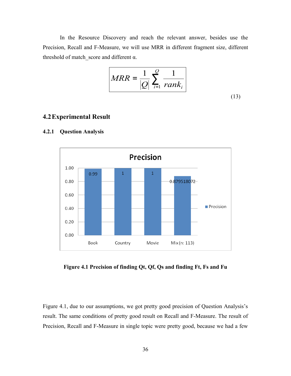In the Resource Discovery and reach the relevant answer, besides use the Precision, Recall and F-Measure, we will use MRR in different fragment size, different threshold of match score and different  $\alpha$ .

$$
MRR = \frac{1}{|Q|} \sum_{i=1}^{Q} \frac{1}{rank_i}
$$
\n(13)

## **4.2Experimental Result**



#### **4.2.1 Question Analysis**

**Figure 4.1 Precision of finding Qt, Qf, Qs and finding Ft, Fs and Fu**

Figure 4.1, due to our assumptions, we got pretty good precision of Question Analysis's result. The same conditions of pretty good result on Recall and F-Measure. The result of Precision, Recall and F-Measure in single topic were pretty good, because we had a few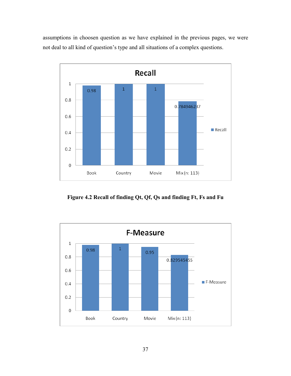assumptions in choosen question as we have explained in the previous pages, we were not deal to all kind of question's type and all situations of a complex questions.



**Figure 4.2 Recall of finding Qt, Qf, Qs and finding Ft, Fs and Fu**

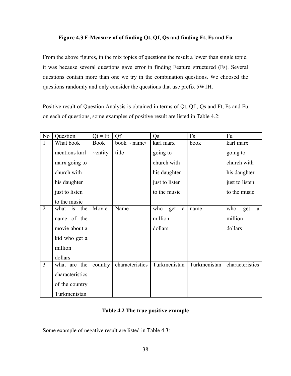## **Figure 4.3 F-Measure of of finding Qt, Qf, Qs and finding Ft, Fs and Fu**

From the above figures, in the mix topics of questions the result a lower than single topic, it was because several questions gave error in finding Feature structured (Fs). Several questions contain more than one we try in the combination questions. We choosed the questions randomly and only consider the questions that use prefix 5W1H.

Positive result of Question Analysis is obtained in terms of Qt, Qf , Qs and Ft, Fs and Fu on each of questions, some examples of positive result are listed in Table 4.2:

| No             | Question          | $Qt = Ft$     | Qf                | Q <sub>S</sub>         | Fs           | Fu              |
|----------------|-------------------|---------------|-------------------|------------------------|--------------|-----------------|
| $\mathbf{1}$   | What book         | <b>Book</b>   | book $\sim$ name/ | karl marx              | book         | karl marx       |
|                | mentions karl     | $\sim$ entity | title             | going to               |              | going to        |
|                | marx going to     |               |                   | church with            |              | church with     |
|                | church with       |               |                   | his daughter           |              | his daughter    |
|                | his daughter      |               |                   | just to listen         |              | just to listen  |
|                | just to listen    |               |                   | to the music           |              | to the music    |
|                | to the music      |               |                   |                        |              |                 |
| $\overline{2}$ | the<br>what<br>is | Movie         | Name              | who<br>get<br>$\rm{a}$ | name         | who<br>get<br>a |
|                | name of the       |               |                   | million                |              | million         |
|                | movie about a     |               |                   | dollars                |              | dollars         |
|                | kid who get a     |               |                   |                        |              |                 |
|                | million           |               |                   |                        |              |                 |
|                | dollars           |               |                   |                        |              |                 |
| $\overline{3}$ | what are the      | country       | characteristics   | Turkmenistan           | Turkmenistan | characteristics |
|                | characteristics   |               |                   |                        |              |                 |
|                | of the country    |               |                   |                        |              |                 |
|                | Turkmenistan      |               |                   |                        |              |                 |

## **Table 4.2 The true positive example**

Some example of negative result are listed in Table 4.3: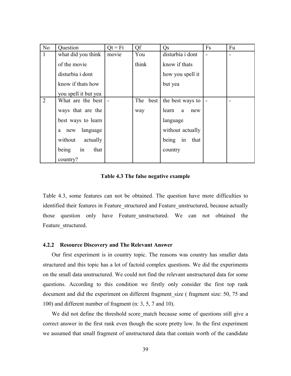| N <sub>o</sub> | Question             | $Qt = Ft$ | Qf       | Q <sub>S</sub>      | Fs | Fu |
|----------------|----------------------|-----------|----------|---------------------|----|----|
| $\mathbf{1}$   | what did you think   | movie     | You      | disturbia i dont    |    |    |
|                | of the movie         |           | think    | know if thats       |    |    |
|                | disturbia i dont     |           |          | how you spell it    |    |    |
|                | know if thats how    |           |          | but yea             |    |    |
|                | you spell it but yea |           |          |                     |    |    |
| $\overline{2}$ | What are the best    |           | The best | the best ways to    |    |    |
|                | ways that are the    |           | way      | learn<br>a<br>new   |    |    |
|                | best ways to learn   |           |          | language            |    |    |
|                | language<br>new<br>a |           |          | without actually    |    |    |
|                | actually<br>without  |           |          | being<br>in<br>that |    |    |
|                | in<br>being<br>that  |           |          | country             |    |    |
|                | country?             |           |          |                     |    |    |

#### **Table 4.3 The false negative example**

Table 4.3, some features can not be obtained. The question have more difficulties to identified their features in Feature structured and Feature unstructured, because actually those question only have Feature unstructured. We can not obtained the Feature structured.

#### **4.2.2 Resource Discovery and The Relevant Answer**

Our first experiment is in country topic. The reasons was country has smaller data structured and this topic has a lot of factoid complex questions. We did the experiments on the small data unstructured. We could not find the relevant unstructured data for some questions. According to this condition we firstly only consider the first top rank document and did the experiment on different fragment size ( fragment size: 50, 75 and 100) and different number of fragment (n: 3, 5, 7 and 10).

We did not define the threshold score match because some of questions still give a correct answer in the first rank even though the score pretty low. In the first experiment we assumed that small fragment of unstructured data that contain worth of the candidate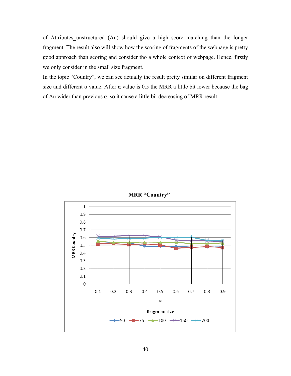of Attributes\_unstructured (Au) should give a high score matching than the longer fragment. The result also will show how the scoring of fragments of the webpage is pretty good approach than scoring and consider tho a whole context of webpage. Hence, firstly we only consider in the small size fragment.

In the topic "Country", we can see actually the result pretty similar on different fragment size and different  $\alpha$  value. After  $\alpha$  value is 0.5 the MRR a little bit lower because the bag of Au wider than previous  $\alpha$ , so it cause a little bit decreasing of MRR result



**MRR "Country"**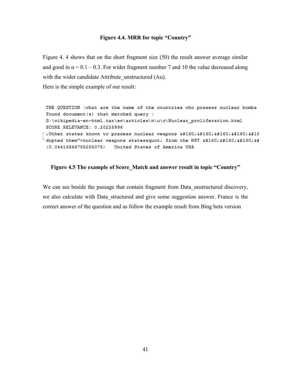#### **Figure 4.4. MRR for topic "Country"**

Figure 4. 4 shows that on the short fragment size (50) the result answer average similar and good in  $\alpha = 0.1 - 0.3$ . For wider fragment number 7 and 10 the value decreased along with the wider candidate Attribute unstructured (Au).

Here is the simple example of our result:

THE QUESTION : what are the name of the countries who possess nuclear bombs Found document (s) that matched query : G:\wikipedia-en-html.tar\en\articles\n\u\c\Nuclear proliferation.html SCORE RELEVANCE: 0.20225996 ;Other states known to possess nuclear weapons &#16 dopted them">nuclear weapons states" from the NPT &# (0.04416666785255075) United States of America USA

## **Figure 4.5 The example of Score\_Match and answer result in topic "Country"**

We can see beside the passage that contain fragment from Data unstructured discovery, we also calculate with Data structured and give some suggestion answer. France is the correct answer of the question and as follow the example result from Bing beta version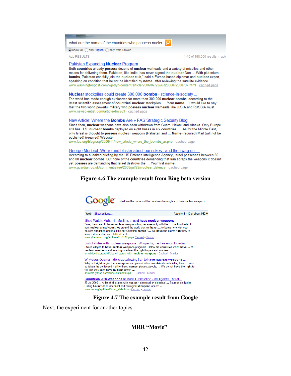what are the name of the countries who possess nuclea

● show all ● only English ● only from Taiwan

**ALL RESULTS** 

1-10 of 198,000 results · adv

#### Pakistan Expanding Nuclear Program

Both countries already possess dozens of nuclear warheads and a variety of missiles and other means for delivering them. Pakistan, like India, has never signed the nuclear Non ... With plutonium bombs, Pakistan can fully join the nuclear club," said a Europe-based diplomat and nuclear expert, speaking on condition that he not be identified by name, after reviewing the satellite evidence. www.washingtonpost.com/wp-dyn/content/article/2006/07/23/AR2006072300737.html · cached page

#### Nuclear stockpiles could create 300,000 bombs - science-in-society

The world has made enough explosives for more than 300,000 nuclear bombs, according to the latest scientific assessment of countries' nuclear stockpiles. ... Your name ... I would like to say that the two world powerful military who possess nuclear warheads like U.S.A and RUSSIA must ... www.newscientist.com/article/dn7963 · cached page

#### New Article: Where the Bombs Are » FAS Strategic Security Blog

Since then, nuclear weapons have also been withdrawn from Guam, Hawaii and Alaska. Only Europe still has U.S. nuclear bombs deployed on eight bases in six countries. ... As for the Middle East, only Israel is thought to possess nuclear weapons (Pakistan and ... Name (required) Mail (will not be published) (required) Website

www.fas.org/blog/ssp/2006/11/new\_article\_where\_the\_bombs\_ar.php < cached page

#### George Monbiot: We lie and bluster about our nukes - and then wag our.

According to a leaked briefing by the US Defence Intelligence Agency, Israel possesses between 60 and 80 nuclear bombs. But none of the countries demanding that Iran scraps the weapons it doesn't yet possess are demanding that Israel destroys the ... Your first name www.guardian.co.uk/commentisfree/2008/jul/29/nuclear.defence · cached page

#### **Figure 4.6 The example result from Bing beta version**



#### **Figure 4.7 The example result from Google**

Next, the experiment for another topics.

### **MRR "Movie"**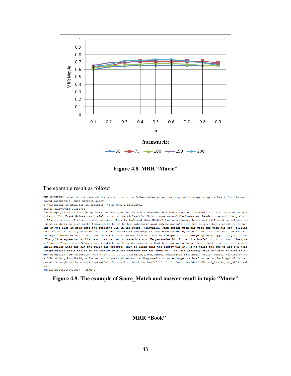

**Figure 4.8. MRR "Movie"**

#### The example result as follow:

THE QUESTION : what is the name of the movie in which a father takes an entire hospital hostage to get a heart for his son Found document(s) that matched query :

G:\wikipedia-en-html.tar\en\articles\j\o\h\John\_Q\_9c5e.html

SCORE RELEVANCE: 0.282738

">hostage</a> situation. He gathers the hostages and sets his demands: his son's name on the recipient list as soon as pos: otiator, Lt. Frank Grimes (<a href="../../../../articles/r/o. Smith) runs around the bases and heads to second, he grabs h: . After a series of tests at the hospital, John is informed that Michael has an enlarged heart and will need to release sor them is about to give birth & needs to go to the maternity ward but he doesn't give the police this reason) in return ing on the list an hour into the building via an air shaft. Meanwhile, John speaks with his wife and then his son, telling on will be all right, unaware that a hidden camera in the hospital has been hacked by a news, and that whatever course he t is imprisonment or his death. John nevertheless demands that his son be brought to the emergency room, apparently for him t The police agree</a> so his heart can be used to save his son. He persuades Dr. Turner (<a href="../../../../articles/j/a/ ml" title="James Woods">James Woods</a>) to perform the operation that his gun was unloaded the entire time he held them ho ingle bullet into the gun and pulls the trigger, only to learn that the safety was on. As he holds the gun to his own head' idnapping</a> and although it is unknown what his sentence for the crime will be, his attorney says it won't be more than { me="Reception" id="Reception"></a></p="../../../.articles/d/e/n/Denzel\_Washington\_8230.html" title="Denzel Washington">D+ s John Quincy Archibald, a father and husband whose son is diagnosed with an enlarged <a href route to the hospital (this t persed throughout the movie).</p><p>John Quincy Archibald (<a href="../../../../articles/d/e/n/Denzel\_Washington\_8230.html' gton

 $(0.018729264364272608)$  John Q

**Figure 4.9. The example of Score\_Match and answer result in topic "Movie"**

#### **MRR "Book"**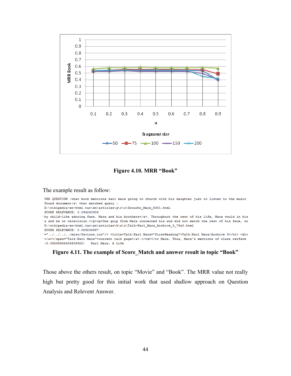

## **Figure 4.10. MRR "Book"**

## The example result as follow:

| THE QUESTION : what book mentions karl marx going to church with his daughter just to listen to the music              |
|------------------------------------------------------------------------------------------------------------------------|
| Found document (s) that matched query :                                                                                |
| G:\wikipedia-en-html.tar\en\articles\q\r\o\Groucho Marx 8301.html                                                      |
| SCORE RELEVANCE: 0.094280906                                                                                           |
| by child-like adoring fans. Marx and his brothers. Throughout the rest of his life, Marx would in his`                 |
| s and he on television. <p>One quip from Marx concerned his and did not match the rest of his face, so "</p>           |
| G:\wikipedia-en-html.tar\en\articles\k\a\r\Talk~Karl Marx Archive 3 79a0.html                                          |
| SCORE RELEVANCE: 0.059234887                                                                                           |
| ="////misc/favicon.ico"/> <title>Talk:Karl Marx="firstHeading"&gt;Talk:Karl Marx/Archive 3 <div< td=""></div<></title> |
| current talk page.                                                                                                     |
| (0.08595845406608922) Karl Marx: A Life                                                                                |

## **Figure 4.11. The example of Score\_Match and answer result in topic "Book"**

Those above the others result, on topic "Movie" and "Book". The MRR value not really high but pretty good for this initial work that used shallow approach on Question Analysis and Relevent Answer.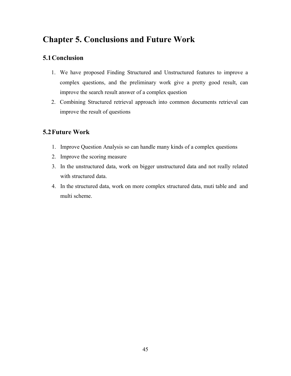## **Chapter 5. Conclusions and Future Work**

## **5.1Conclusion**

- 1. We have proposed Finding Structured and Unstructured features to improve a complex questions, and the preliminary work give a pretty good result, can improve the search result answer of a complex question
- 2. Combining Structured retrieval approach into common documents retrieval can improve the result of questions

## **5.2Future Work**

- 1. Improve Question Analysis so can handle many kinds of a complex questions
- 2. Improve the scoring measure
- 3. In the unstructured data, work on bigger unstructured data and not really related with structured data.
- 4. In the structured data, work on more complex structured data, muti table and and multi scheme.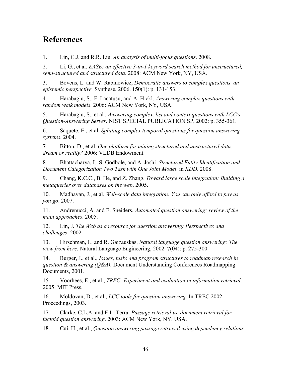## **References**

1. Lin, C.J. and R.R. Liu. *An analysis of multi-focus questions*. 2008.

2. Li, G., et al. *EASE: an effective 3-in-1 keyword search method for unstructured, semi-structured and structured data*. 2008: ACM New York, NY, USA.

3. Bovens, L. and W. Rabinowicz, *Democratic answers to complex questions–an epistemic perspective.* Synthese, 2006. **150**(1): p. 131-153.

4. Harabagiu, S., F. Lacatusu, and A. Hickl. *Answering complex questions with random walk models*. 2006: ACM New York, NY, USA.

5. Harabagiu, S., et al., *Answering complex, list and context questions with LCC's Question-Answering Server.* NIST SPECIAL PUBLICATION SP, 2002: p. 355-361.

6. Saquete, E., et al. *Splitting complex temporal questions for question answering systems*. 2004.

7. Bitton, D., et al. *One platform for mining structured and unstructured data: dream or reality?* 2006: VLDB Endowment.

8. Bhattacharya, I., S. Godbole, and A. Joshi. *Structured Entity Identification and Document Categorization Two Task with One Joint Model*. in *KDD*. 2008.

9. Chang, K.C.C., B. He, and Z. Zhang. *Toward large scale integration: Building a metaquerier over databases on the web*. 2005.

10. Madhavan, J., et al. *Web-scale data integration: You can only afford to pay as you go*. 2007.

11. Andrenucci, A. and E. Sneiders. *Automated question answering: review of the main approaches*. 2005.

12. Lin, J. *The Web as a resource for question answering: Perspectives and challenges*. 2002.

13. Hirschman, L. and R. Gaizauskas, *Natural language question answering: The view from here.* Natural Language Engineering, 2002. **7**(04): p. 275-300.

14. Burger, J., et al., *Issues, tasks and program structures to roadmap research in question & answering (Q&A).* Document Understanding Conferences Roadmapping Documents, 2001.

15. Voorhees, E., et al., *TREC: Experiment and evaluation in information retrieval*. 2005: MIT Press.

16. Moldovan, D., et al., *LCC tools for question answering.* In TREC 2002 Proceedings, 2003.

17. Clarke, C.L.A. and E.L. Terra. *Passage retrieval vs. document retrieval for factoid question answering*. 2003: ACM New York, NY, USA.

18. Cui, H., et al., *Question answering passage retrieval using dependency relations.*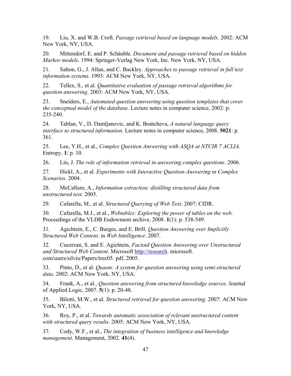19. Liu, X. and W.B. Croft. *Passage retrieval based on language models*. 2002: ACM New York, NY, USA.

20. Mittendorf, E. and P. Schäuble. *Document and passage retrieval based on hidden Markov models*. 1994: Springer-Verlag New York, Inc. New York, NY, USA.

21. Salton, G., J. Allan, and C. Buckley. *Approaches to passage retrieval in full text information systems*. 1993: ACM New York, NY, USA.

22. Tellex, S., et al. *Quantitative evaluation of passage retrieval algorithms for question answering*. 2003: ACM New York, NY, USA.

23. Sneiders, E., *Automated question answering using question templates that cover the conceptual model of the database.* Lecture notes in computer science, 2002: p. 235-240.

24. Tablan, V., D. Damljanovic, and K. Bontcheva, *A natural language query interface to structured information.* Lecture notes in computer science, 2008. **5021**: p. 361.

25. Lee, Y.H., et al., *Complex Question Answering with ASQA at NTCIR 7 ACLIA.* Entropy. **1**: p. 10.

26. Lin, J. *The role of information retrieval in answering complex questions*. 2006.

27. Hickl, A., et al. *Experiments with Interactive Question-Answering in Complex Scenarios*. 2004.

28. McCallum, A., *Information extraction: distilling structured data from unstructured text.* 2005.

29. Cafarella, M., et al. *Structured Querying of Web Text*. 2007: CIDR.

30. Cafarella, M.J., et al., *Webtables: Exploring the power of tables on the web.* Proceedings of the VLDB Endowment archive, 2008. **1**(1): p. 538-549.

31. Agichtein, E., C. Burges, and E. Brill. *Question Answering over Implicitly Structured Web Content*. in *Web Intelligence*. 2007.

32. Cucerzan, S. and E. Agichtein, *Factoid Question Answering over Unstructured and Structured Web Content.* Microsoft [http://research.](http://research/) microsoft. com/users/silviu/Papers/trec05. pdf, 2005.

33. Pinto, D., et al. *Quasm: A system for question answering using semi-structured data*. 2002: ACM New York, NY, USA.

34. Frank, A., et al., *Question answering from structured knowledge sources.* Journal of Applied Logic, 2007. **5**(1): p. 20-48.

35. Bilotti, M.W., et al. *Structured retrieval for question answering*. 2007: ACM New York, NY, USA.

36. Roy, P., et al. *Towards automatic association of relevant unstructured content with structured query results*. 2005: ACM New York, NY, USA.

37. Cody, W.F., et al., *The integration of business intelligence and knowledge management.* Management, 2002. **41**(4).